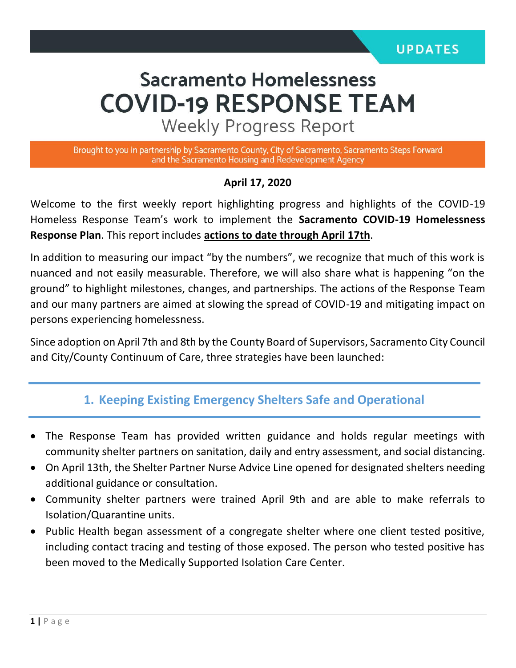# **Sacramento Homelessness COVID-19 RESPONSE TEAM**

**Weekly Progress Report** 

Brought to you in partnership by Sacramento County, City of Sacramento, Sacramento Steps Forward and the Sacramento Housing and Redevelopment Agency

#### **April 17, 2020**

Welcome to the first weekly report highlighting progress and highlights of the COVID-19 Homeless Response Team's work to implement the **Sacramento COVID-19 Homelessness Response Plan**. This report includes **actions to date through April 17th**.

In addition to measuring our impact "by the numbers", we recognize that much of this work is nuanced and not easily measurable. Therefore, we will also share what is happening "on the ground" to highlight milestones, changes, and partnerships. The actions of the Response Team and our many partners are aimed at slowing the spread of COVID-19 and mitigating impact on persons experiencing homelessness.

Since adoption on April 7th and 8th by the County Board of Supervisors, Sacramento City Council and City/County Continuum of Care, three strategies have been launched:

### **1. Keeping Existing Emergency Shelters Safe and Operational**

- The Response Team has provided written guidance and holds regular meetings with community shelter partners on sanitation, daily and entry assessment, and social distancing.
- On April 13th, the Shelter Partner Nurse Advice Line opened for designated shelters needing additional guidance or consultation.
- Community shelter partners were trained April 9th and are able to make referrals to Isolation/Quarantine units.
- Public Health began assessment of a congregate shelter where one client tested positive, including contact tracing and testing of those exposed. The person who tested positive has been moved to the Medically Supported Isolation Care Center.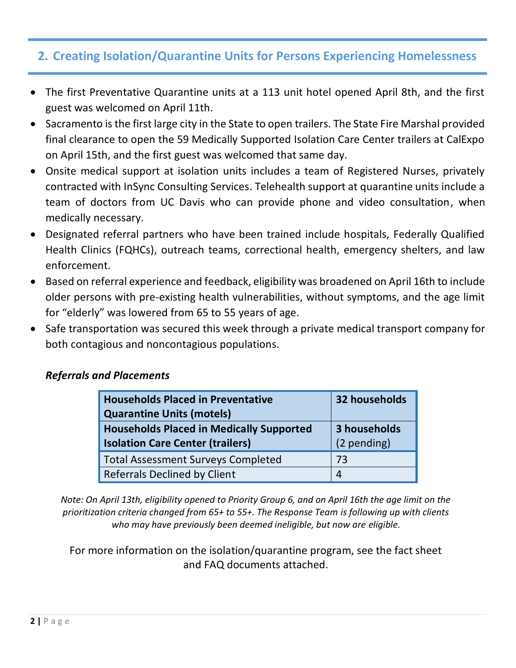## **2. Creating Isolation/Quarantine Units for Persons Experiencing Homelessness**

- The first Preventative Quarantine units at a 113 unit hotel opened April 8th, and the first guest was welcomed on April 11th.
- Sacramento is the first large city in the State to open trailers. The State Fire Marshal provided final clearance to open the 59 Medically Supported Isolation Care Center trailers at CalExpo on April 15th, and the first guest was welcomed that same day.
- Onsite medical support at isolation units includes a team of Registered Nurses, privately contracted with InSync Consulting Services. Telehealth support at quarantine units include a team of doctors from UC Davis who can provide phone and video consultation, when medically necessary.
- Designated referral partners who have been trained include hospitals, Federally Qualified Health Clinics (FQHCs), outreach teams, correctional health, emergency shelters, and law enforcement.
- Based on referral experience and feedback, eligibility was broadened on April 16th to include older persons with pre-existing health vulnerabilities, without symptoms, and the age limit for "elderly" was lowered from 65 to 55 years of age.
- Safe transportation was secured this week through a private medical transport company for both contagious and noncontagious populations.

#### *Referrals and Placements*

| <b>Households Placed in Preventative</b>        | 32 households |
|-------------------------------------------------|---------------|
| <b>Quarantine Units (motels)</b>                |               |
| <b>Households Placed in Medically Supported</b> | 3 households  |
| <b>Isolation Care Center (trailers)</b>         | (2 pending)   |
| <b>Total Assessment Surveys Completed</b>       | 73            |
| <b>Referrals Declined by Client</b>             | 4             |

*Note: On April 13th, eligibility opened to Priority Group 6, and on April 16th the age limit on the prioritization criteria changed from 65+ to 55+. The Response Team is following up with clients who may have previously been deemed ineligible, but now are eligible.*

For more information on the isolation/quarantine program, see the fact sheet and FAQ documents attached.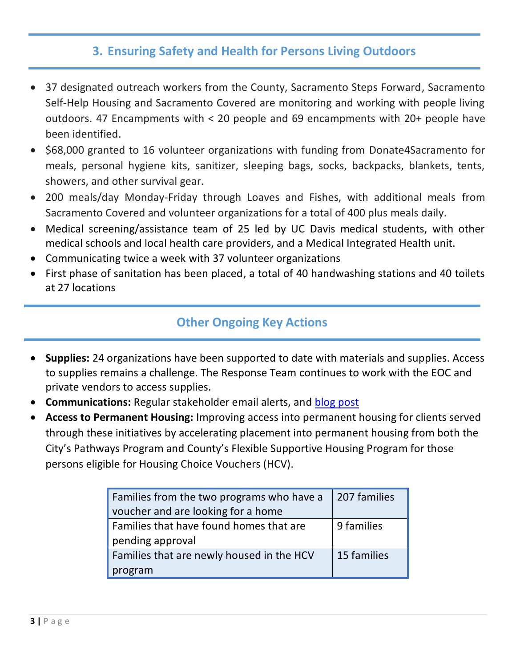## **3. Ensuring Safety and Health for Persons Living Outdoors**

- 37 designated outreach workers from the County, Sacramento Steps Forward, Sacramento Self-Help Housing and Sacramento Covered are monitoring and working with people living outdoors. 47 Encampments with < 20 people and 69 encampments with 20+ people have been identified.
- \$68,000 granted to 16 volunteer organizations with funding from Donate4Sacramento for meals, personal hygiene kits, sanitizer, sleeping bags, socks, backpacks, blankets, tents, showers, and other survival gear.
- 200 meals/day Monday-Friday through Loaves and Fishes, with additional meals from Sacramento Covered and volunteer organizations for a total of 400 plus meals daily.
- Medical screening/assistance team of 25 led by UC Davis medical students, with other medical schools and local health care providers, and a Medical Integrated Health unit.
- Communicating twice a week with 37 volunteer organizations
- First phase of sanitation has been placed, a total of 40 handwashing stations and 40 toilets at 27 locations

## **Other Ongoing Key Actions**

- **Supplies:** 24 organizations have been supported to date with materials and supplies. Access to supplies remains a challenge. The Response Team continues to work with the EOC and private vendors to access supplies.
- **Communications:** Regular stakeholder email alerts, and [blog post](https://sacramentocityexpress.com/2020/04/17/special-trailers-at-cal-expo-designated-for-homeless-people-with-covid-19-receive-first-patient/)
- **Access to Permanent Housing:** Improving access into permanent housing for clients served through these initiatives by accelerating placement into permanent housing from both the City's Pathways Program and County's Flexible Supportive Housing Program for those persons eligible for Housing Choice Vouchers (HCV).

| Families from the two programs who have a | 207 families |
|-------------------------------------------|--------------|
| voucher and are looking for a home        |              |
| Families that have found homes that are   | 9 families   |
| pending approval                          |              |
| Families that are newly housed in the HCV | 15 families  |
| program                                   |              |